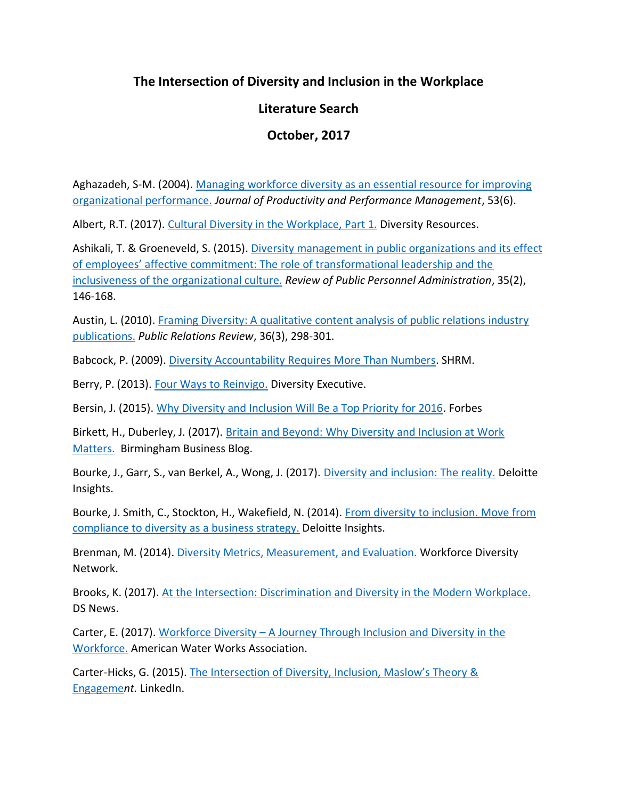## **The Intersection of Diversity and Inclusion in the Workplace**

## **Literature Search**

## **October, 2017**

Aghazadeh, S-M. (2004). [Managing workforce diversity as an essential resource for improving](https://www.researchgate.net/publication/235317386_Managing_workforce_diversity_as_an_essential_resource_for_improving_organizational_performance)  [organizational performance.](https://www.researchgate.net/publication/235317386_Managing_workforce_diversity_as_an_essential_resource_for_improving_organizational_performance) *Journal of Productivity and Performance Management*, 53(6).

Albert, R.T. (2017). [Cultural Diversity in the Workplace, Part 1.](http://www.diversityresources.com/cultural-diversity-workplace/) Diversity Resources.

Ashikali, T. & Groeneveld, S. (2015)[. Diversity management in public organizations and its effect](http://journals.sagepub.com/doi/abs/10.1177/0734371x13511088)  o[f employees' affective commitment: The role of transformational leadership and the](http://journals.sagepub.com/doi/abs/10.1177/0734371x13511088)  [inclusiveness of the organizational culture.](http://journals.sagepub.com/doi/abs/10.1177/0734371x13511088) *Review of Public Personnel Administration*, 35(2), 146-168.

Austin, L. (2010). [Framing Diversity: A qualitative content analysis of public relations industry](http://www.sciencedirect.com/science/article/pii/S0363811110000500)  [publications.](http://www.sciencedirect.com/science/article/pii/S0363811110000500) *Public Relations Review*, 36(3), 298-301.

Babcock, P. (2009). [Diversity Accountability Requires More Than Numbers.](https://www.shrm.org/ResourcesAndTools/hr-topics/behavioral-competencies/global-and-cultural-effectiveness/Pages/MoreThanNumbers.aspx) SHRM.

Berry, P. (2013). [Four Ways to Reinvigo.](http://prismdiversity.com/downloads/Philip-DE-July_Aug-2013.pdf) Diversity Executive.

Bersin, J. (2015). [Why Diversity and Inclusion Will Be a Top Priority for 2016.](https://www.forbes.com/sites/joshbersin/2015/12/06/why-diversity-and-inclusion-will-be-a-top-priority-for-2016/#755f061a2ed5) Forbes

Birkett, H., Duberley, J. (2017). [Britain and Beyond: Why Diversity and Inclusion at Work](http://eaworldview.com/2017/10/britain-beyond-why-diversity-inclusion-work-matters/)  [Matters.](http://eaworldview.com/2017/10/britain-beyond-why-diversity-inclusion-work-matters/) Birmingham Business Blog.

Bourke, J., Garr, S., van Berkel, A., Wong, J. (2017). [Diversity and inclusion: The reality.](https://dupress.deloitte.com/dup-us-en/focus/human-capital-trends/2017/diversity-and-inclusion-at-the-workplace.html) Deloitte Insights.

Bourke, J. Smith, C., Stockton, H., Wakefield, N. (2014). [From diversity to inclusion.](https://dupress.deloitte.com/dup-us-en/focus/human-capital-trends/2014/hc-trends-2014-diversity-to-inclusion.html) Move from [compliance to diversity as a business strategy.](https://dupress.deloitte.com/dup-us-en/focus/human-capital-trends/2014/hc-trends-2014-diversity-to-inclusion.html) Deloitte Insights.

Brenman, M. (2014). [Diversity Metrics, Measurement, and Evaluation.](http://workforcediversitynetwork.com/res_articles_diversitymetricsmeasurementevaluation.aspx) Workforce Diversity Network.

Brooks, K. (2017). [At the Intersection: Discrimination and Diversity in the Modern Workplace.](http://www.dsnews.com/daily-dose/09-05-2016/145895) DS News.

Carter, E. (2017). Workforce Diversity – [A Journey Through Inclusion and Diversity in the](https://www.researchgate.net/publication/312277557_Workforce_Diversity_--_A_Journey_Through_Inclusion_and_Diversity_in_the_Workplace)  [Workforce.](https://www.researchgate.net/publication/312277557_Workforce_Diversity_--_A_Journey_Through_Inclusion_and_Diversity_in_the_Workplace) American Water Works Association.

Carter-Hicks, G. (2015). [The Intersection of Diversity, Inclusion, Maslow's Theory &](https://www.linkedin.com/pulse/intersection-diversity-inclusion-maslows-theory-gloria-carter-hicks/)  [Engageme](https://www.linkedin.com/pulse/intersection-diversity-inclusion-maslows-theory-gloria-carter-hicks/)*nt.* LinkedIn.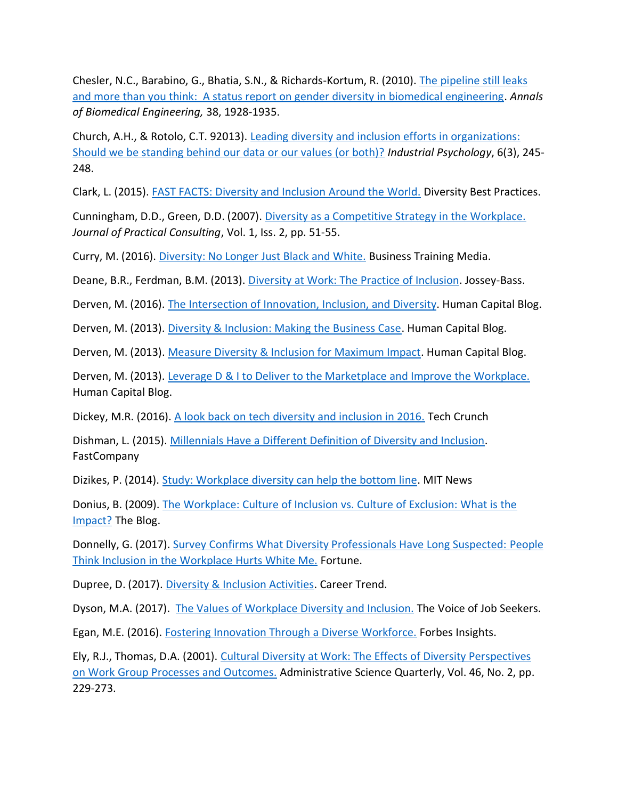Chesler, N.C., Barabino, G., Bhatia, S.N., & Richards-Kortum, R. (2010). [The pipeline still leaks](https://link.springer.com/article/10.1007/s10439-010-9958-9)  [and more than you think: A status report on gender diversity in biomedical engineering.](https://link.springer.com/article/10.1007/s10439-010-9958-9) *Annals of Biomedical Engineering,* 38, 1928-1935.

Church, A.H., & Rotolo, C.T. 92013). [Leading diversity and inclusion efforts in organizations:](https://www.researchgate.net/publication/263217588_Leading_Diversity_and_Inclusion_Efforts_in_Organizations_Should_We_Be_Standing_Behind_Our_Data_or_Our_Values_or_Both)  [Should we be standing behind our data or our values \(or both\)?](https://www.researchgate.net/publication/263217588_Leading_Diversity_and_Inclusion_Efforts_in_Organizations_Should_We_Be_Standing_Behind_Our_Data_or_Our_Values_or_Both) *Industrial Psychology*, 6(3), 245- 248.

Clark, L. (2015). [FAST FACTS: Diversity and Inclusion Around the World.](http://www.diversitybestpractices.com/news-articles/fast-facts-diversity-and-inclusion-around-world) Diversity Best Practices.

Cunningham, D.D., Green, D.D. (2007). [Diversity as a Competitive Strategy in the Workplace.](https://www.regent.edu/acad/global/publications/jpc/vol1iss2/cunningham/Cunningham_Green_Vol1Iss2.pdf) *Journal of Practical Consulting*, Vol. 1, Iss. 2, pp. 51-55.

Curry, M. (2016). [Diversity: No Longer Just Black and White.](http://www.businesstrainingmedia.com/culturaldiversityartcile.php) Business Training Media.

Deane, B.R., Ferdman, B.M. (2013). [Diversity at Work: The Practice of Inclusion.](http://www.practiceofinclusion.com/) Jossey-Bass.

Derven, M. (2016). [The Intersection of Innovation, Inclusion, and Diversity.](https://www.td.org/Publications/Blogs/Human-Capital-Blog/2016/06/The-Intersection-of-Innovation-Inclusion-and-Diversity) Human Capital Blog.

Derven, M. (2013). [Diversity & Inclusion: Making the Business Case.](https://www.td.org/Publications/Blogs/Human-Capital-Blog/2013/06/Diversity-and-Inclusion-Making-the-Business-Case) Human Capital Blog.

Derven, M. (2013). [Measure Diversity & Inclusion for Maximum Impact.](https://www.td.org/Publications/Blogs/Human-Capital-Blog/2013/06/Measure-Diversity-and-Inclusion-for-Maximum-Impact) Human Capital Blog.

Derven, M. (2013). [Leverage D & I to Deliver to the Marketplace and Improve the Workplace.](https://www.td.org/Publications/Blogs/Human-Capital-Blog/2013/07/Leverage-DI-to-Deliver-to-the-Marketplace-and-Improve-the-Workplace) Human Capital Blog.

Dickey, M.R. (2016). [A look back on tech diversity and inclusion in 2016.](https://techcrunch.com/gallery/a-look-back-on-tech-diversity-and-inclusion-in-2016/) Tech Crunch

Dishman, L. (2015). [Millennials Have a Different Definition of Diversity and Inclusion.](https://www.fastcompany.com/3046358/millennials-have-a-different-definition-of-diversity-and-inclusion) FastCompany

Dizikes, P. (2014). [Study: Workplace diversity can help the bottom line.](http://news.mit.edu/2014/workplace-diversity-can-help-bottom-line-1007) MIT News

Donius, B. (2009). [The Workplace: Culture of Inclusion vs. Culture of Exclusion: What is the](https://www.huffingtonpost.com/bill-donius/the-workplace-culture-of_b_181800.html)  [Impact?](https://www.huffingtonpost.com/bill-donius/the-workplace-culture-of_b_181800.html) The Blog.

Donnelly, G. (2017). [Survey Confirms What Diversity Professionals Have Long Suspected:](https://finance.yahoo.com/news/survey-confirms-diversity-professionals-long-203632709.html) People [Think Inclusion in the Workplace Hurts White Me.](https://finance.yahoo.com/news/survey-confirms-diversity-professionals-long-203632709.html) Fortune.

Dupree, D. (2017). [Diversity & Inclusion Activities.](https://careertrend.com/list-6718248-diversity-inclusion-activities.html) Career Trend.

Dyson, M.A. (2017). [The Values of Workplace Diversity and Inclusion.](http://thevoiceofjobseekers.com/values-workplace-diversity-inclusion/) The Voice of Job Seekers.

Egan, M.E. (2016). [Fostering Innovation Through a Diverse Workforce.](https://www.forbes.com/forbesinsights/innovation_diversity/index.html) Forbes Insights.

Ely, R.J., Thomas, D.A. (2001). [Cultural Diversity at Work: The Effects of Diversity Perspectives](http://web.mit.edu/cortiz/www/Diversity/Ely%20and%20Thomas,%202001.pdf)  [on Work Group Processes and Outcomes.](http://web.mit.edu/cortiz/www/Diversity/Ely%20and%20Thomas,%202001.pdf) Administrative Science Quarterly, Vol. 46, No. 2, pp. 229-273.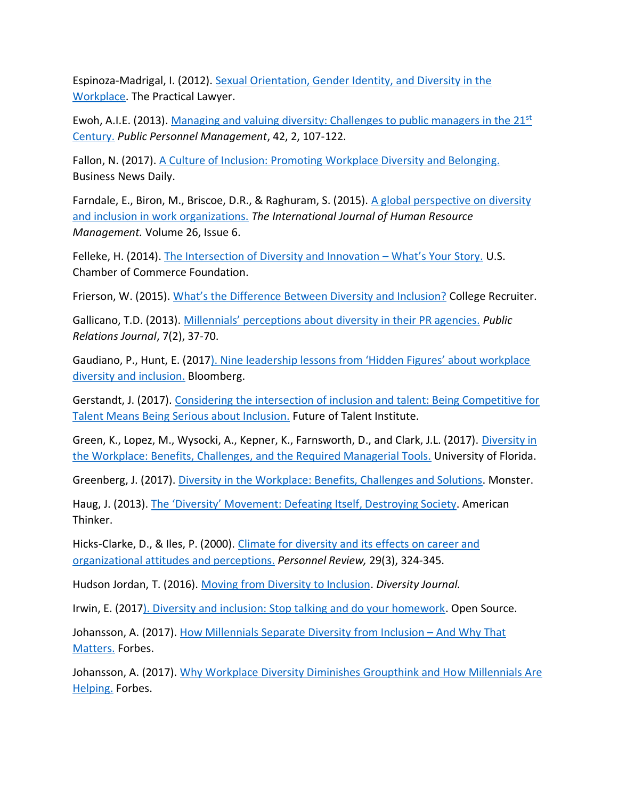Espinoza-Madrigal, I. (2012). [Sexual Orientation, Gender Identity, and Diversity in the](https://www.lambdalegal.org/sites/default/files/publications/downloads/tpl_201208_sexual-orientation-gender-identity-and-diversity-in-the-workplace_0.pdf)  [Workplace.](https://www.lambdalegal.org/sites/default/files/publications/downloads/tpl_201208_sexual-orientation-gender-identity-and-diversity-in-the-workplace_0.pdf) The Practical Lawyer.

Ewoh, A.I.E. (2013). [Managing and valuing diversity: Challenges to public managers in the 21](http://journals.sagepub.com/doi/abs/10.1177/0091026013487048)<sup>st</sup> [Century.](http://journals.sagepub.com/doi/abs/10.1177/0091026013487048) *Public Personnel Management*, 42, 2, 107-122.

Fallon, N. (2017). [A Culture of Inclusion: Promoting Workplace Diversity and Belonging.](http://www.businessnewsdaily.com/10055-create-inclusive-workplace-culture.html) Business News Daily.

Farndale, E., Biron, M., Briscoe, D.R., & Raghuram, S. (2015). A global perspective on diversity [and inclusion in work organizations.](http://www.tandfonline.com/doi/abs/10.1080/09585192.2014.991511?journalCode=rijh20) *The International Journal of Human Resource Management.* Volume 26, Issue 6.

Felleke, H. (2014). [The Intersection of Diversity and Innovation](https://www.td.org/Publications/Blogs/Human-Capital-Blog/2016/06/The-Intersection-of-Innovation-Inclusion-and-Diversity) – What's Your Story. U.S. Chamber of Commerce Foundation.

Frierson, W. (2015). [What's the Difference Between Diversity and Inclusion?](https://www.collegerecruiter.com/blog/2015/09/18/whats-the-difference-between-diversity-and-inclusion/) College Recruiter.

Gallicano, T.D. (2013). Millennials' perceptio[ns about diversity in their PR agencies.](https://www.researchgate.net/publication/305438238_Millennials%27_perceptions_of_diversity_in_their_PR_agencies) *Public Relations Journal*, 7(2), 37-70.

Gaudiano, P., Hunt, E. (2017). Nine [leadership lessons from 'Hidden Figures' about workplace](https://www.bloomberg.com/diversity-inclusion/blog/nine-leadership-lessons-hidden-figures-workplace-diversity-inclusion/)  [diversity and inclusion.](https://www.bloomberg.com/diversity-inclusion/blog/nine-leadership-lessons-hidden-figures-workplace-diversity-inclusion/) Bloomberg.

Gerstandt, J. (2017). [Considering the intersection of inclusion and talent: Being Competitive for](http://www.joegerstandt.com/downloads/JoeGerstandt-InclusionAndTalent.pdf)  [Talent Means Being Serious about Inclusion.](http://www.joegerstandt.com/downloads/JoeGerstandt-InclusionAndTalent.pdf) Future of Talent Institute.

Green, K., Lopez, M., Wysocki, A., Kepner, K., Farnsworth, D., and Clark, J.L. (2017). [Diversity in](https://edis.ifas.ufl.edu/hr022)  [the Workplace: Benefits, Challenges, and the Required Managerial Tools.](https://edis.ifas.ufl.edu/hr022) University of Florida.

Greenberg, J. (2017)[. Diversity in the Workplace: Benefits, Challenges and Solutions.](http://multiculturaladvantage.com/recruit/diversity/diversity-in-the-workplace-benefits-challenges-solutions.asp) Monster.

Haug, J. (2013). [The 'Diversity' Movement: Defeating Itself, Destroying Soci](http://www.americanthinker.com/articles/2013/01/the_diversity_movement_defeating_itself_destroying_society.html)ety. American Thinker.

Hicks-Clarke, D., & Iles, P. (2000). [Climate for diversity and its effects on career and](https://www.deepdyve.com/lp/emerald-publishing/climate-for-diversity-and-its-effects-on-career-and-organisational-H0qyv6aPvh)  organizational [attitudes and perceptions.](https://www.deepdyve.com/lp/emerald-publishing/climate-for-diversity-and-its-effects-on-career-and-organisational-H0qyv6aPvh) *Personnel Review,* 29(3), 324-345.

Hudson Jordan, T. (2016). [Moving from Diversity to Inclusion.](http://www.diversityjournal.com/1471-moving-from-diversity-to-inclusion/) *Diversity Journal.*

Irwin, E. (201[7\). Diversity and inclusion: Stop talking and do your homework.](https://opensource.com/article/17/9/diversity-and-inclusion-innovation) Open Source.

Johansson, A. (2017). [How Millennials Separate Diversity from Inclusion](https://www.forbes.com/forbes/welcome/?toURL=https://www.forbes.com/sites/annajohansson/2017/06/16/how-millennials-separate-diversity-from-inclusion-and-why-that-matters/&refURL=https://search.yahoo.com/&referrer=https://search.yahoo.com/) - And Why That [Matters.](https://www.forbes.com/forbes/welcome/?toURL=https://www.forbes.com/sites/annajohansson/2017/06/16/how-millennials-separate-diversity-from-inclusion-and-why-that-matters/&refURL=https://search.yahoo.com/&referrer=https://search.yahoo.com/) Forbes.

Johansson, A. (2017). [Why Workplace Diversity Diminishes Groupthink and How Millennials Are](https://www.forbes.com/sites/annajohansson/2017/07/20/how-workplace-diversity-diminishes-groupthink-and-how-millennials-are-helping/#2dcdb55f4b74)  [Helping.](https://www.forbes.com/sites/annajohansson/2017/07/20/how-workplace-diversity-diminishes-groupthink-and-how-millennials-are-helping/#2dcdb55f4b74) Forbes.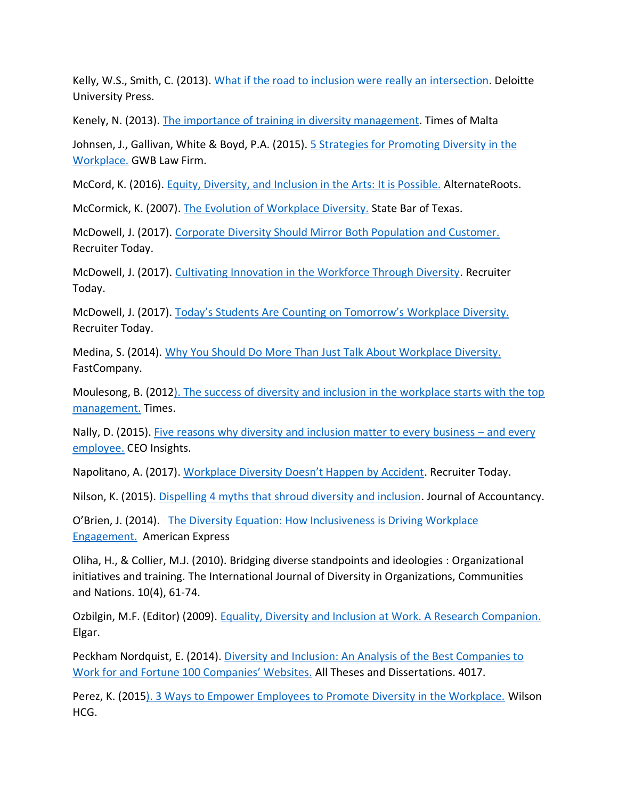Kelly, W.S., Smith, C. (2013). [What if the road to inclusion were really an intersection.](https://www2.deloitte.com/content/dam/Deloitte/us/Documents/human-capital/us-deloitte-diversity-inclusion-road-to-inclusion-really-an-intersection.pdf) Deloitte University Press.

Kenely, N. (2013). [The importance of training in diversity management.](https://www.timesofmalta.com/articles/view/20130818/business-news/The-importance-of-training-in-diversity-management.482610) Times of Malta

Johnsen, J., Gallivan, White & Boyd, P.A. (2015). **5 Strategies for Promoting Diversity in the** [Workplace.](http://www.gwblawfirm.com/wp-content/uploads/2013/12/5-Strategies-for-Promoting-Diversity-in-the-Workplace-11-19-13.pdf) GWB Law Firm.

McCord, K. (2016). [Equity, Diversity, and Inclusion in the Arts: It is Possible.](https://alternateroots.org/equity-diversity-and-inclusion-in-the-arts-it-is-possible/) AlternateRoots.

McCormick, K. (2007). [The Evolution of Workplace Diversity.](http://www.texasbarcle.com/Materials/Events/6369/4079_01.pdf) State Bar of Texas.

McDowell, J. (2017). [Corporate Diversity Should Mirror Both Population and Customer.](https://www.recruiter.com/i/corporate-diversity-should-mirror-both-population-and-customer-base/) Recruiter Today.

McDowell, J. (2017). [Cultivating Innovation in the Workforce Through Diversity.](http://www.foxbusiness.com/features/2017/05/08/cultivating-innovation-in-workforce-through-diversity.html) Recruiter Today.

McDowell, J. (2017). [Today's Students Are Counting on Tomorrow's](https://www.recruiter.com/i/todays-students-are-counting-on-tomorrows-workplace-diversity/) Workplace Diversity. Recruiter Today.

Medina, S. (2014). [Why You Should Do More Than Just Talk About Workplace Diversity.](https://www.fastcompany.com/3032103/why-its-time-to-get-proactive-about-building-diversity-and-inclusion-into) FastCompany.

Moulesong, B. (201[2\). The success of diversity and inclusion in the workplace starts with the top](http://www.nwitimes.com/the-success-of-diversity-and-inclusion-in-the-workplace-starts/article_0e0398d0-86e4-5e36-8fb7-80f44a770702.html) [management.](http://www.nwitimes.com/the-success-of-diversity-and-inclusion-in-the-workplace-starts/article_0e0398d0-86e4-5e36-8fb7-80f44a770702.html) Times.

Nally, D. (2015). [Five reasons why diversity and inclusion matter to every business](http://pwc.blogs.com/ceoinsights/2015/06/five-reasons-why-diversity-and-inclusion-matter.html) – and every [employee.](http://pwc.blogs.com/ceoinsights/2015/06/five-reasons-why-diversity-and-inclusion-matter.html) CEO Insights.

Napolitano, A. (2017). [Workplace Diversity Doesn't Happen by Accident](https://www.recruiter.com/i/workplace-diversity-doesnt-happen-by-accident/). Recruiter Today.

Nilson, K. (2015). [Dispelling 4 myths that shroud diversity and inclusion.](https://www.journalofaccountancy.com/news/2015/oct/aicpa-diversity-and-inclusion-update-201513178.html) Journal of Accountancy.

O'Brien, J. (2014). [The Diversity Equation: How Inclusiveness is Driving Workplace](The%20Diversity%20Equation:%20How%20Inclusiveness%20is%20Driving%20Workplace%20Engagement.)  [Engagement.](The%20Diversity%20Equation:%20How%20Inclusiveness%20is%20Driving%20Workplace%20Engagement.) [American Express](https://www.americanexpress.com/us/small-business/openforum/articles/diversity-equation-inclusiveness-driving-workplace-engagement/)

Oliha, H., & Collier, M.J. (2010). Bridging diverse standpoints and ideologies : Organizational initiatives and training. The International Journal of Diversity in Organizations, Communities and Nations. 10(4), 61-74.

Ozbilgin, M.F. (Editor) (2009). [Equality, Diversity and Inclusion at Work. A Research Companion.](https://www.e-elgar.com/shop/equality-diversity-and-inclusion-at-work?___website=uk_warehouse) Elgar.

Peckham Nordquist, E. (2014). [Diversity and Inclusion: An Analysis of the Best Companies to](http://scholarsarchive.byu.edu/cgi/viewcontent.cgi?article=5016&context=etd)  [Work for and Fortune 100 Companies' Websites.](http://scholarsarchive.byu.edu/cgi/viewcontent.cgi?article=5016&context=etd) All Theses and Dissertations. 4017.

Perez, K. (201[5\). 3 Ways to Empower Employees to Promote Diversity in the Workplace.](http://www.wilsonhcg.com/blog/3-ways-to-empower-employees-to-promote-diversity-in-the-workplace) Wilson HCG.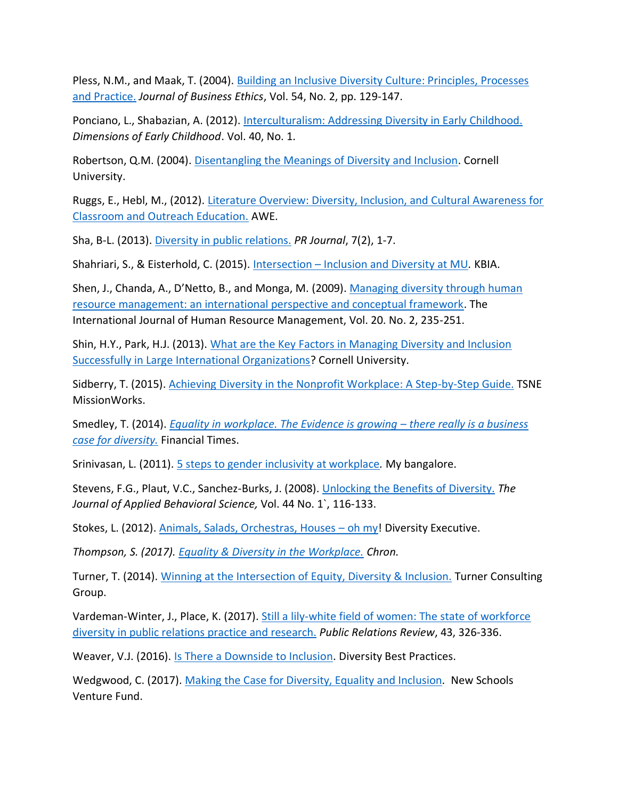Pless, N.M., and Maak, T. (2004). [Building an Inclusive Diversity Culture: Principles, Processes](http://www.armydiversity.army.mil/document/building_an_inclusive_diversity_culture.pdf)  [and Practice.](http://www.armydiversity.army.mil/document/building_an_inclusive_diversity_culture.pdf) *Journal of Business Ethics*, Vol. 54, No. 2, pp. 129-147.

Ponciano, L., Shabazian, A. (2012). [Interculturalism: Addressing Diversity in Early Childhood.](http://southernearlychildhood.org/upload/pdf/Interculturalism___Addressing_Diversity_in_Early_Childhood___Leslie_Ponciano_and_Ani_Shabazian.pdf) *Dimensions of Early Childhood*. Vol. 40, No. 1.

Robertson, Q.M. (2004). [Disentangling the Meanings of Diversity and Inclusion.](http://digitalcommons.ilr.cornell.edu/cgi/viewcontent.cgi?article=1011&context=cahrswp) Cornell University.

Ruggs, E., Hebl, M., (2012). [Literature Overview: Diversity, Inclusion, and Cultural Awareness for](http://www.engr.psu.edu/awe/arpabstracts/diversityinclusion/arp_diversityinclusionculturalawareness_overview.pdf)  [Classroom and Outreach Education.](http://www.engr.psu.edu/awe/arpabstracts/diversityinclusion/arp_diversityinclusionculturalawareness_overview.pdf) AWE.

Sha, B-L. (2013). [Diversity in public relations.](http://www.instituteforpr.org/diversity-and-pr-practice/) *PR Journal*, 7(2), 1-7.

Shahriari, S., & Eisterhold, C. (2015). Intersection – [Inclusion and Diversity at MU](http://kbia.org/post/intersection-inclusion-and-diversity-mu#stream/0)*.* KBIA.

Shen, J., Chanda, A., D'Netto, B., and Monga, M. (2009). [Managing diversity through human](http://business.kingston.ac.uk/sites/default/files/BH4702%20Introduction%20to%20HRM%20-%20article%203%20for%20Problem%20Based%20Report.pdf)  [resource management: an international perspective and conceptual framework.](http://business.kingston.ac.uk/sites/default/files/BH4702%20Introduction%20to%20HRM%20-%20article%203%20for%20Problem%20Based%20Report.pdf) The International Journal of Human Resource Management, Vol. 20. No. 2, 235-251.

Shin, H.Y., Park, H.J. (2013). What are the Key Factors in Managing Diversity and Inclusion [Successfully in Large International Organizations?](http://digitalcommons.ilr.cornell.edu/cgi/viewcontent.cgi?article=1044&context=student) Cornell University.

Sidberry, T. (2015). [Achieving Diversity in the Nonprofit Workplace: A Step-by-Step Guide.](http://tsne.org/achieving-diversity-nonprofit-workplace-step-step-guide) TSNE MissionWorks.

Smedley, T. (2014). *[Equality in workplace. The Evidence is growing](https://www.ft.com/content/4f4b3c8e-d521-11e3-9187-00144feabdc0) – there really is a business [case for diversity.](https://www.ft.com/content/4f4b3c8e-d521-11e3-9187-00144feabdc0)* Financial Times.

Srinivasan, L. (2011). [5 steps to gender inclusivity at workplace](http://www.mybangalore.com/article/0711/5-steps-to-gender-inclusivity-at-workplace.html)*.* My bangalore.

Stevens, F.G., Plaut, V.C., Sanchez-Burks, J. (2008). [Unlocking the Benefits of Diversity.](https://www.law.berkeley.edu/files/Stevens_Plaut_Sanchez-Burks_2008.pdf) *The Journal of Applied Behavioral Science,* Vol. 44 No. 1`, 116-133.

Stokes, L. (2012). [Animals, Salads, Orchestras, Houses](https://www.prismdiversity.com/downloads/dos-donts-diversity-training.pdf) – oh my! Diversity Executive.

*Thompson, S. (2017). [Equality & Diversity in the Workplace.](http://work.chron.com/equality-diversity-workplace-18485.html) Chron.*

Turner, T. (2014). [Winning at the Intersection of Equity, Diversity & Inclusion.](https://turnerconsultinggroup.weebly.com/blog-tana-turner/winning-at-the-intersection-of-equity-diversity-inclusion) Turner Consulting Group.

Vardeman-Winter, J., Place, K. (2017). [Still a lily-white field of women: The state of workforce](http://www.sciencedirect.com/science/article/pii/S0363811116303149)  [diversity in public relations practice and research.](http://www.sciencedirect.com/science/article/pii/S0363811116303149) *Public Relations Review*, 43, 326-336.

Weaver, V.J. (2016). [Is There a Downside to Inclusion.](http://www.diversitybestpractices.com/news-articles/there-downside-inclusion) Diversity Best Practices.

Wedgwood, C. (2017). [Making the Case for Diversity, Equality and Inclusion](http://www.gettingsmart.com/2017/07/making-the-case-for-diversity-equity-and-inclusion/)*.* New Schools Venture Fund.